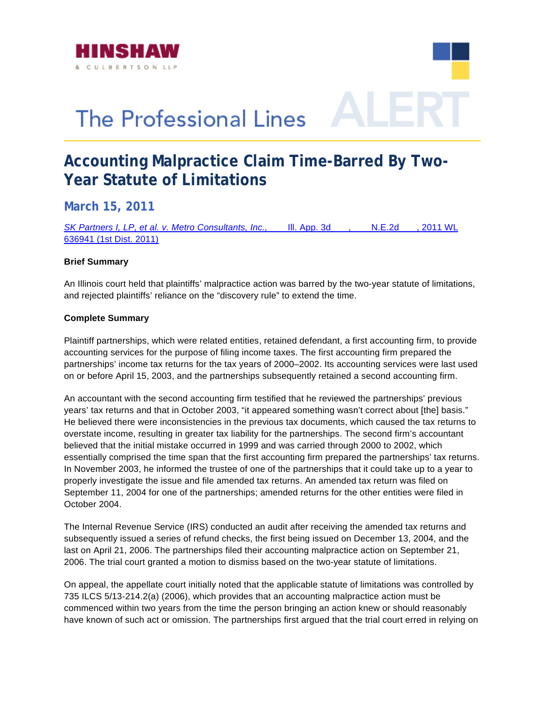



## **Accounting Malpractice Claim Time-Barred By Two-Year Statute of Limitations**

**March 15, 2011** 

*[SK Partners I, LP, et al. v. Metro Consultants, Inc.,](http://www.hinshawlaw.com/files/upload/SKPartnersILPv.MetroConsultants.pdf)* \_\_\_ Ill. App. 3d \_\_\_, \_\_\_ N.E.2d \_\_\_, 2011 WL [636941 \(1st Dist. 2011\)](http://www.hinshawlaw.com/files/upload/SKPartnersILPv.MetroConsultants.pdf)

## **Brief Summary**

An Illinois court held that plaintiffs' malpractice action was barred by the two-year statute of limitations, and rejected plaintiffs' reliance on the "discovery rule" to extend the time.

## **Complete Summary**

Plaintiff partnerships, which were related entities, retained defendant, a first accounting firm, to provide accounting services for the purpose of filing income taxes. The first accounting firm prepared the partnerships' income tax returns for the tax years of 2000–2002. Its accounting services were last used on or before April 15, 2003, and the partnerships subsequently retained a second accounting firm.

An accountant with the second accounting firm testified that he reviewed the partnerships' previous years' tax returns and that in October 2003, "it appeared something wasn't correct about [the] basis." He believed there were inconsistencies in the previous tax documents, which caused the tax returns to overstate income, resulting in greater tax liability for the partnerships. The second firm's accountant believed that the initial mistake occurred in 1999 and was carried through 2000 to 2002, which essentially comprised the time span that the first accounting firm prepared the partnerships' tax returns. In November 2003, he informed the trustee of one of the partnerships that it could take up to a year to properly investigate the issue and file amended tax returns. An amended tax return was filed on September 11, 2004 for one of the partnerships; amended returns for the other entities were filed in October 2004.

The Internal Revenue Service (IRS) conducted an audit after receiving the amended tax returns and subsequently issued a series of refund checks, the first being issued on December 13, 2004, and the last on April 21, 2006. The partnerships filed their accounting malpractice action on September 21, 2006. The trial court granted a motion to dismiss based on the two-year statute of limitations.

On appeal, the appellate court initially noted that the applicable statute of limitations was controlled by 735 ILCS 5/13-214.2(a) (2006), which provides that an accounting malpractice action must be commenced within two years from the time the person bringing an action knew or should reasonably have known of such act or omission. The partnerships first argued that the trial court erred in relying on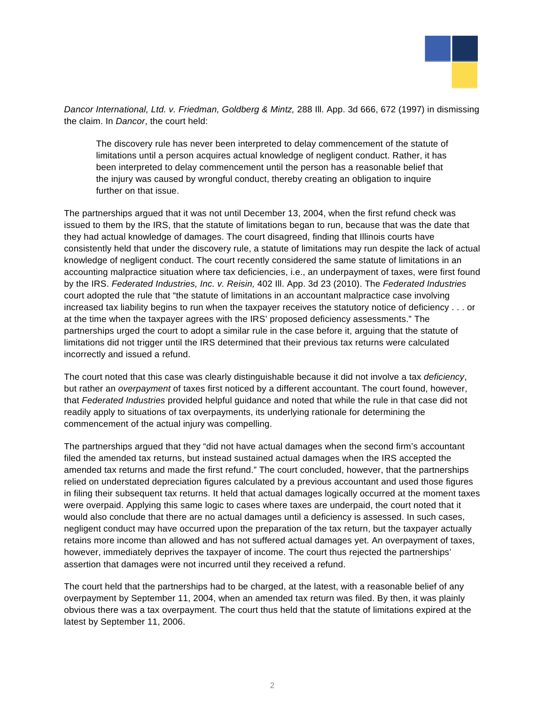

*Dancor International, Ltd. v. Friedman, Goldberg & Mintz,* 288 Ill. App. 3d 666, 672 (1997) in dismissing the claim. In *Dancor*, the court held:

The discovery rule has never been interpreted to delay commencement of the statute of limitations until a person acquires actual knowledge of negligent conduct. Rather, it has been interpreted to delay commencement until the person has a reasonable belief that the injury was caused by wrongful conduct, thereby creating an obligation to inquire further on that issue.

The partnerships argued that it was not until December 13, 2004, when the first refund check was issued to them by the IRS, that the statute of limitations began to run, because that was the date that they had actual knowledge of damages. The court disagreed, finding that Illinois courts have consistently held that under the discovery rule, a statute of limitations may run despite the lack of actual knowledge of negligent conduct. The court recently considered the same statute of limitations in an accounting malpractice situation where tax deficiencies, i.e., an underpayment of taxes, were first found by the IRS. *Federated Industries, Inc. v. Reisin,* 402 Ill. App. 3d 23 (2010). The *Federated Industries* court adopted the rule that "the statute of limitations in an accountant malpractice case involving increased tax liability begins to run when the taxpayer receives the statutory notice of deficiency . . . or at the time when the taxpayer agrees with the IRS' proposed deficiency assessments." The partnerships urged the court to adopt a similar rule in the case before it, arguing that the statute of limitations did not trigger until the IRS determined that their previous tax returns were calculated incorrectly and issued a refund.

The court noted that this case was clearly distinguishable because it did not involve a tax *deficiency*, but rather an *overpayment* of taxes first noticed by a different accountant. The court found, however, that *Federated Industries* provided helpful guidance and noted that while the rule in that case did not readily apply to situations of tax overpayments, its underlying rationale for determining the commencement of the actual injury was compelling.

The partnerships argued that they "did not have actual damages when the second firm's accountant filed the amended tax returns, but instead sustained actual damages when the IRS accepted the amended tax returns and made the first refund." The court concluded, however, that the partnerships relied on understated depreciation figures calculated by a previous accountant and used those figures in filing their subsequent tax returns. It held that actual damages logically occurred at the moment taxes were overpaid. Applying this same logic to cases where taxes are underpaid, the court noted that it would also conclude that there are no actual damages until a deficiency is assessed. In such cases, negligent conduct may have occurred upon the preparation of the tax return, but the taxpayer actually retains more income than allowed and has not suffered actual damages yet. An overpayment of taxes, however, immediately deprives the taxpayer of income. The court thus rejected the partnerships' assertion that damages were not incurred until they received a refund.

The court held that the partnerships had to be charged, at the latest, with a reasonable belief of any overpayment by September 11, 2004, when an amended tax return was filed. By then, it was plainly obvious there was a tax overpayment. The court thus held that the statute of limitations expired at the latest by September 11, 2006.